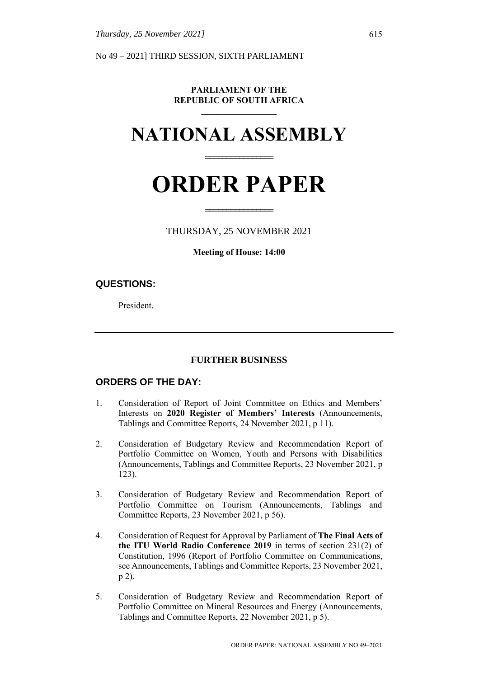No 49 – 2021] THIRD SESSION, SIXTH PARLIAMENT

#### **PARLIAMENT OF THE REPUBLIC OF SOUTH AFRICA \_\_\_\_\_\_\_\_\_\_\_\_\_\_\_\_\_**

# **NATIONAL ASSEMBLY**

**================**

# **ORDER PAPER**

#### THURSDAY, 25 NOVEMBER 2021

**================**

#### **Meeting of House: 14:00**

#### **QUESTIONS:**

President.

#### **FURTHER BUSINESS**

#### **ORDERS OF THE DAY:**

- 1. Consideration of Report of Joint Committee on Ethics and Members' Interests on **2020 Register of Members' Interests** (Announcements, Tablings and Committee Reports, 24 November 2021, p 11).
- 2. Consideration of Budgetary Review and Recommendation Report of Portfolio Committee on Women, Youth and Persons with Disabilities (Announcements, Tablings and Committee Reports, 23 November 2021, p 123).
- 3. Consideration of Budgetary Review and Recommendation Report of Portfolio Committee on Tourism (Announcements, Tablings and Committee Reports, 23 November 2021, p 56).
- 4. Consideration of Request for Approval by Parliament of **The Final Acts of the ITU World Radio Conference 2019** in terms of section 231(2) of Constitution, 1996 (Report of Portfolio Committee on Communications, see Announcements, Tablings and Committee Reports, 23 November 2021, p 2).
- 5. Consideration of Budgetary Review and Recommendation Report of Portfolio Committee on Mineral Resources and Energy (Announcements, Tablings and Committee Reports, 22 November 2021, p 5).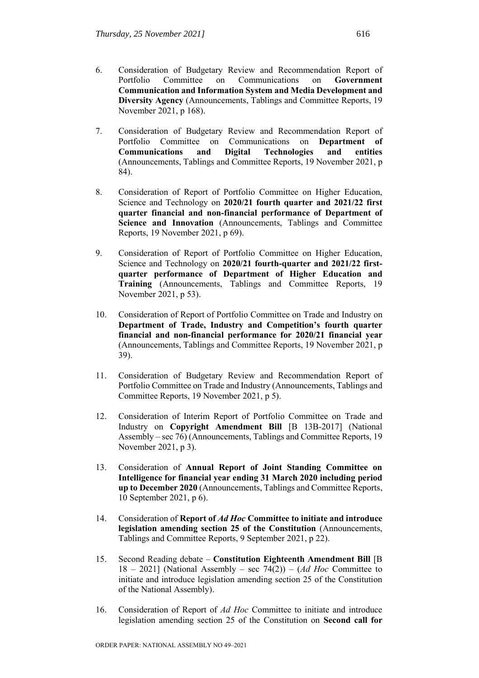- 6. Consideration of Budgetary Review and Recommendation Report of Portfolio Committee on Communications on **Government Communication and Information System and Media Development and Diversity Agency** (Announcements, Tablings and Committee Reports, 19 November 2021, p 168).
- 7. Consideration of Budgetary Review and Recommendation Report of Portfolio Committee on Communications on **Department of Communications and Digital Technologies and entities** (Announcements, Tablings and Committee Reports, 19 November 2021, p 84).
- 8. Consideration of Report of Portfolio Committee on Higher Education, Science and Technology on **2020/21 fourth quarter and 2021/22 first quarter financial and non-financial performance of Department of Science and Innovation** (Announcements, Tablings and Committee Reports, 19 November 2021, p 69).
- 9. Consideration of Report of Portfolio Committee on Higher Education, Science and Technology on **2020/21 fourth-quarter and 2021/22 firstquarter performance of Department of Higher Education and Training** (Announcements, Tablings and Committee Reports, 19 November 2021, p 53).
- 10. Consideration of Report of Portfolio Committee on Trade and Industry on **Department of Trade, Industry and Competition's fourth quarter financial and non-financial performance for 2020/21 financial year** (Announcements, Tablings and Committee Reports, 19 November 2021, p 39).
- 11. Consideration of Budgetary Review and Recommendation Report of Portfolio Committee on Trade and Industry (Announcements, Tablings and Committee Reports, 19 November 2021, p 5).
- 12. Consideration of Interim Report of Portfolio Committee on Trade and Industry on **Copyright Amendment Bill** [B 13B-2017] (National Assembly – sec 76) (Announcements, Tablings and Committee Reports, 19 November 2021, p 3).
- 13. Consideration of **Annual Report of Joint Standing Committee on Intelligence for financial year ending 31 March 2020 including period up to December 2020** (Announcements, Tablings and Committee Reports, 10 September 2021, p 6).
- 14. Consideration of **Report of** *Ad Hoc* **Committee to initiate and introduce legislation amending section 25 of the Constitution** (Announcements, Tablings and Committee Reports, 9 September 2021, p 22).
- 15. Second Reading debate **Constitution Eighteenth Amendment Bill** [B 18 – 2021] (National Assembly – sec 74(2)) – (*Ad Hoc* Committee to initiate and introduce legislation amending section 25 of the Constitution of the National Assembly).
- 16. Consideration of Report of *Ad Hoc* Committee to initiate and introduce legislation amending section 25 of the Constitution on **Second call for**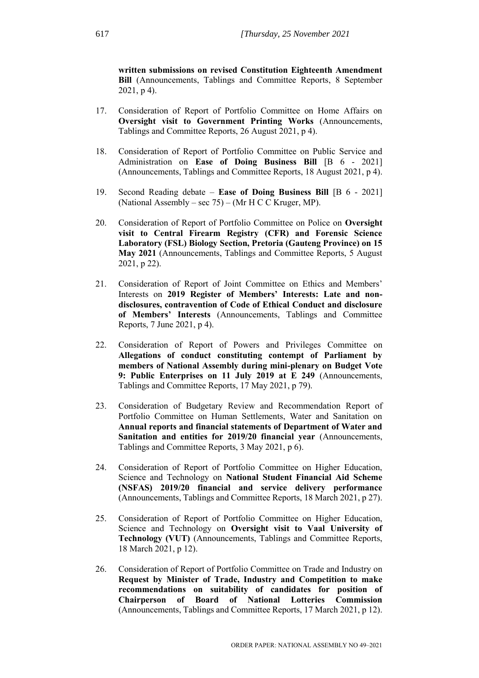**written submissions on revised Constitution Eighteenth Amendment Bill** (Announcements, Tablings and Committee Reports, 8 September 2021, p 4).

- 17. Consideration of Report of Portfolio Committee on Home Affairs on **Oversight visit to Government Printing Works** (Announcements, Tablings and Committee Reports, 26 August 2021, p 4).
- 18. Consideration of Report of Portfolio Committee on Public Service and Administration on **Ease of Doing Business Bill** [B 6 - 2021] (Announcements, Tablings and Committee Reports, 18 August 2021, p 4).
- 19. Second Reading debate **Ease of Doing Business Bill** [B 6 2021] (National Assembly – sec 75) – (Mr H C C Kruger, MP).
- 20. Consideration of Report of Portfolio Committee on Police on **Oversight visit to Central Firearm Registry (CFR) and Forensic Science Laboratory (FSL) Biology Section, Pretoria (Gauteng Province) on 15 May 2021** (Announcements, Tablings and Committee Reports, 5 August 2021, p 22).
- 21. Consideration of Report of Joint Committee on Ethics and Members' Interests on **2019 Register of Members' Interests: Late and nondisclosures, contravention of Code of Ethical Conduct and disclosure of Members' Interests** (Announcements, Tablings and Committee Reports, 7 June 2021, p 4).
- 22. Consideration of Report of Powers and Privileges Committee on **Allegations of conduct constituting contempt of Parliament by members of National Assembly during mini-plenary on Budget Vote 9: Public Enterprises on 11 July 2019 at E 249** (Announcements, Tablings and Committee Reports, 17 May 2021, p 79).
- 23. Consideration of Budgetary Review and Recommendation Report of Portfolio Committee on Human Settlements, Water and Sanitation on **Annual reports and financial statements of Department of Water and Sanitation and entities for 2019/20 financial year** (Announcements, Tablings and Committee Reports, 3 May 2021, p 6).
- 24. Consideration of Report of Portfolio Committee on Higher Education, Science and Technology on **National Student Financial Aid Scheme (NSFAS) 2019/20 financial and service delivery performance**  (Announcements, Tablings and Committee Reports, 18 March 2021, p 27).
- 25. Consideration of Report of Portfolio Committee on Higher Education, Science and Technology on **Oversight visit to Vaal University of Technology (VUT)** (Announcements, Tablings and Committee Reports, 18 March 2021, p 12).
- 26. Consideration of Report of Portfolio Committee on Trade and Industry on **Request by Minister of Trade, Industry and Competition to make recommendations on suitability of candidates for position of Chairperson of Board of National Lotteries Commission**  (Announcements, Tablings and Committee Reports, 17 March 2021, p 12).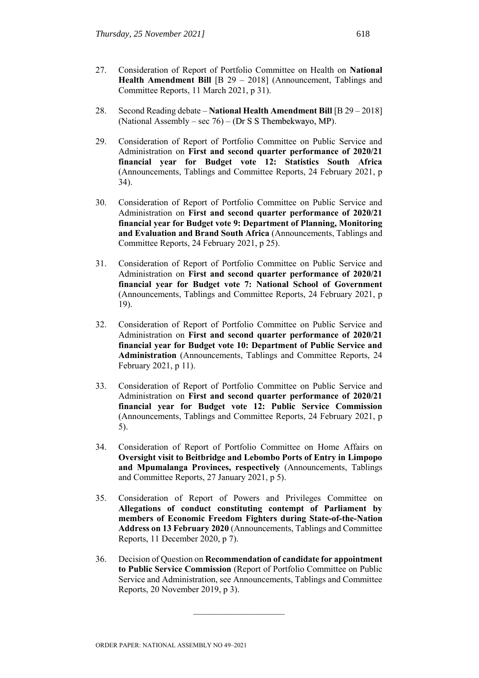- 27. Consideration of Report of Portfolio Committee on Health on **National Health Amendment Bill** [B 29 – 2018] (Announcement, Tablings and Committee Reports, 11 March 2021, p 31).
- 28. Second Reading debate **National Health Amendment Bill** [B 29 2018] (National Assembly – sec 76) – (Dr S S Thembekwayo, MP).
- 29. Consideration of Report of Portfolio Committee on Public Service and Administration on **First and second quarter performance of 2020/21 financial year for Budget vote 12: Statistics South Africa**  (Announcements, Tablings and Committee Reports, 24 February 2021, p 34).
- 30. Consideration of Report of Portfolio Committee on Public Service and Administration on **First and second quarter performance of 2020/21 financial year for Budget vote 9: Department of Planning, Monitoring and Evaluation and Brand South Africa** (Announcements, Tablings and Committee Reports, 24 February 2021, p 25).
- 31. Consideration of Report of Portfolio Committee on Public Service and Administration on **First and second quarter performance of 2020/21 financial year for Budget vote 7: National School of Government**  (Announcements, Tablings and Committee Reports, 24 February 2021, p 19).
- 32. Consideration of Report of Portfolio Committee on Public Service and Administration on **First and second quarter performance of 2020/21 financial year for Budget vote 10: Department of Public Service and Administration** (Announcements, Tablings and Committee Reports, 24 February 2021, p 11).
- 33. Consideration of Report of Portfolio Committee on Public Service and Administration on **First and second quarter performance of 2020/21 financial year for Budget vote 12: Public Service Commission**  (Announcements, Tablings and Committee Reports, 24 February 2021, p 5).
- 34. Consideration of Report of Portfolio Committee on Home Affairs on **Oversight visit to Beitbridge and Lebombo Ports of Entry in Limpopo and Mpumalanga Provinces, respectively** (Announcements, Tablings and Committee Reports, 27 January 2021, p 5).
- 35. Consideration of Report of Powers and Privileges Committee on **Allegations of conduct constituting contempt of Parliament by members of Economic Freedom Fighters during State-of-the-Nation Address on 13 February 2020** (Announcements, Tablings and Committee Reports, 11 December 2020, p 7).
- 36. Decision of Question on **Recommendation of candidate for appointment to Public Service Commission** (Report of Portfolio Committee on Public Service and Administration, see Announcements, Tablings and Committee Reports, 20 November 2019, p 3).

**\_\_\_\_\_\_\_\_\_\_\_\_\_\_\_\_\_**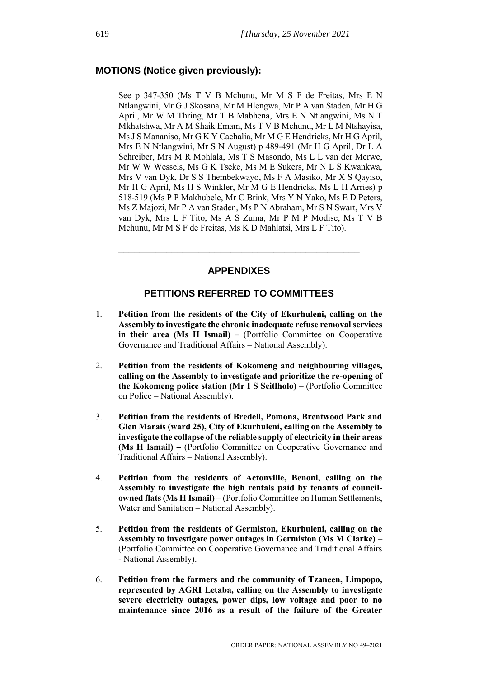#### **MOTIONS (Notice given previously):**

See p 347-350 (Ms T V B Mchunu, Mr M S F de Freitas, Mrs E N Ntlangwini, Mr G J Skosana, Mr M Hlengwa, Mr P A van Staden, Mr H G April, Mr W M Thring, Mr T B Mabhena, Mrs E N Ntlangwini, Ms N T Mkhatshwa, Mr A M Shaik Emam, Ms T V B Mchunu, Mr L M Ntshayisa, Ms J S Mananiso, Mr G K Y Cachalia, Mr M G E Hendricks, Mr H G April, Mrs E N Ntlangwini, Mr S N August) p 489-491 (Mr H G April, Dr L A Schreiber, Mrs M R Mohlala, Ms T S Masondo, Ms L L van der Merwe, Mr W W Wessels, Ms G K Tseke, Ms M E Sukers, Mr N L S Kwankwa, Mrs V van Dyk, Dr S S Thembekwayo, Ms F A Masiko, Mr X S Qayiso, Mr H G April, Ms H S Winkler, Mr M G E Hendricks, Ms L H Arries) p 518-519 (Ms P P Makhubele, Mr C Brink, Mrs Y N Yako, Ms E D Peters, Ms Z Majozi, Mr P A van Staden, Ms P N Abraham, Mr S N Swart, Mrs V van Dyk, Mrs L F Tito, Ms A S Zuma, Mr P M P Modise, Ms T V B Mchunu, Mr M S F de Freitas, Ms K D Mahlatsi, Mrs L F Tito).

#### **APPENDIXES**

**\_\_\_\_\_\_\_\_\_\_\_\_\_\_\_\_\_\_\_\_\_\_\_\_\_\_\_\_\_\_\_\_\_\_\_\_\_\_\_\_\_\_\_\_\_**

#### **PETITIONS REFERRED TO COMMITTEES**

- 1. **Petition from the residents of the City of Ekurhuleni, calling on the Assembly to investigate the chronic inadequate refuse removal services in their area (Ms H Ismail) –** (Portfolio Committee on Cooperative Governance and Traditional Affairs – National Assembly).
- 2. **Petition from the residents of Kokomeng and neighbouring villages, calling on the Assembly to investigate and prioritize the re-opening of the Kokomeng police station (Mr I S Seitlholo)** – (Portfolio Committee on Police – National Assembly).
- 3. **Petition from the residents of Bredell, Pomona, Brentwood Park and Glen Marais (ward 25), City of Ekurhuleni, calling on the Assembly to investigate the collapse of the reliable supply of electricity in their areas (Ms H Ismail) –** (Portfolio Committee on Cooperative Governance and Traditional Affairs – National Assembly).
- 4. **Petition from the residents of Actonville, Benoni, calling on the Assembly to investigate the high rentals paid by tenants of councilowned flats (Ms H Ismail)** – (Portfolio Committee on Human Settlements, Water and Sanitation – National Assembly).
- 5. **Petition from the residents of Germiston, Ekurhuleni, calling on the Assembly to investigate power outages in Germiston (Ms M Clarke)** – (Portfolio Committee on Cooperative Governance and Traditional Affairs - National Assembly).
- 6. **Petition from the farmers and the community of Tzaneen, Limpopo, represented by AGRI Letaba, calling on the Assembly to investigate severe electricity outages, power dips, low voltage and poor to no maintenance since 2016 as a result of the failure of the Greater**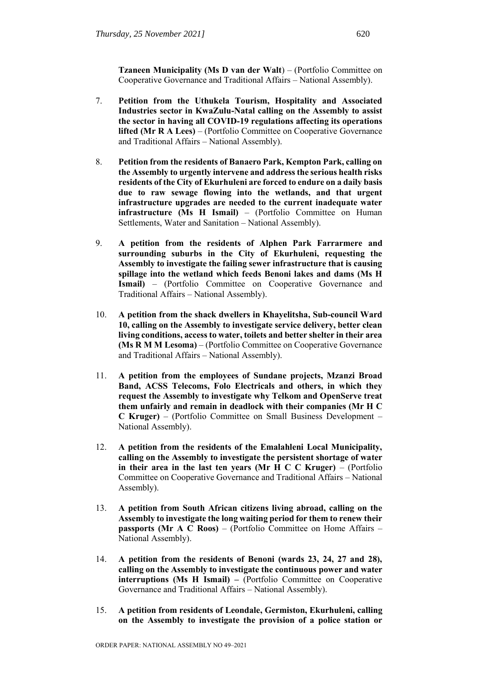**Tzaneen Municipality (Ms D van der Walt**) – (Portfolio Committee on Cooperative Governance and Traditional Affairs – National Assembly).

- 7. **Petition from the Uthukela Tourism, Hospitality and Associated Industries sector in KwaZulu-Natal calling on the Assembly to assist the sector in having all COVID-19 regulations affecting its operations lifted (Mr R A Lees)** – (Portfolio Committee on Cooperative Governance and Traditional Affairs – National Assembly).
- 8. **Petition from the residents of Banaero Park, Kempton Park, calling on the Assembly to urgently intervene and address the serious health risks residents of the City of Ekurhuleni are forced to endure on a daily basis due to raw sewage flowing into the wetlands, and that urgent infrastructure upgrades are needed to the current inadequate water infrastructure (Ms H Ismail)** – (Portfolio Committee on Human Settlements, Water and Sanitation – National Assembly).
- 9. **A petition from the residents of Alphen Park Farrarmere and surrounding suburbs in the City of Ekurhuleni, requesting the Assembly to investigate the failing sewer infrastructure that is causing spillage into the wetland which feeds Benoni lakes and dams (Ms H Ismail)** – (Portfolio Committee on Cooperative Governance and Traditional Affairs – National Assembly).
- 10. **A petition from the shack dwellers in Khayelitsha, Sub-council Ward 10, calling on the Assembly to investigate service delivery, better clean living conditions, access to water, toilets and better shelter in their area (Ms R M M Lesoma)** – (Portfolio Committee on Cooperative Governance and Traditional Affairs – National Assembly).
- 11. **A petition from the employees of Sundane projects, Mzanzi Broad Band, ACSS Telecoms, Folo Electricals and others, in which they request the Assembly to investigate why Telkom and OpenServe treat them unfairly and remain in deadlock with their companies (Mr H C C Kruger)** – (Portfolio Committee on Small Business Development – National Assembly).
- 12. **A petition from the residents of the Emalahleni Local Municipality, calling on the Assembly to investigate the persistent shortage of water in their area in the last ten years (Mr H C C Kruger)** – (Portfolio Committee on Cooperative Governance and Traditional Affairs – National Assembly).
- 13. **A petition from South African citizens living abroad, calling on the Assembly to investigate the long waiting period for them to renew their passports (Mr A C Roos)** – (Portfolio Committee on Home Affairs – National Assembly).
- 14. **A petition from the residents of Benoni (wards 23, 24, 27 and 28), calling on the Assembly to investigate the continuous power and water interruptions (Ms H Ismail) –** (Portfolio Committee on Cooperative Governance and Traditional Affairs – National Assembly).
- 15. **A petition from residents of Leondale, Germiston, Ekurhuleni, calling on the Assembly to investigate the provision of a police station or**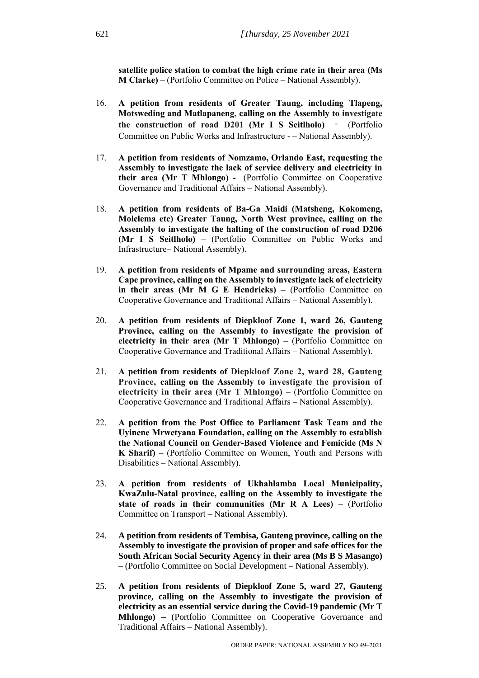**satellite police station to combat the high crime rate in their area (Ms M Clarke)** – (Portfolio Committee on Police – National Assembly).

- 16. **A petition from residents of Greater Taung, including Tlapeng, Motsweding and Matlapaneng, calling on the Assembly to investigate the construction of road D201 (Mr I S Seitlholo)** – (Portfolio Committee on Public Works and Infrastructure - – National Assembly).
- 17. **A petition from residents of Nomzamo, Orlando East, requesting the Assembly to investigate the lack of service delivery and electricity in their area (Mr T Mhlongo) -** (Portfolio Committee on Cooperative Governance and Traditional Affairs – National Assembly).
- 18. **A petition from residents of Ba-Ga Maidi (Matsheng, Kokomeng, Molelema etc) Greater Taung, North West province, calling on the Assembly to investigate the halting of the construction of road D206 (Mr I S Seitlholo)** – (Portfolio Committee on Public Works and Infrastructure– National Assembly).
- 19. **A petition from residents of Mpame and surrounding areas, Eastern Cape province, calling on the Assembly to investigate lack of electricity in their areas (Mr M G E Hendricks)** – (Portfolio Committee on Cooperative Governance and Traditional Affairs – National Assembly).
- 20. **A petition from residents of Diepkloof Zone 1, ward 26, Gauteng Province, calling on the Assembly to investigate the provision of electricity in their area (Mr T Mhlongo)** – (Portfolio Committee on Cooperative Governance and Traditional Affairs – National Assembly).
- 21. **A petition from residents of Diepkloof Zone 2, ward 28, Gauteng Province, calling on the Assembly to investigate the provision of electricity in their area (Mr T Mhlongo)** – (Portfolio Committee on Cooperative Governance and Traditional Affairs – National Assembly).
- 22. **A petition from the Post Office to Parliament Task Team and the Uyinene Mrwetyana Foundation, calling on the Assembly to establish the National Council on Gender-Based Violence and Femicide (Ms N K Sharif)** – (Portfolio Committee on Women, Youth and Persons with Disabilities – National Assembly).
- 23. **A petition from residents of Ukhahlamba Local Municipality, KwaZulu-Natal province, calling on the Assembly to investigate the state of roads in their communities (Mr R A Lees)** – (Portfolio Committee on Transport – National Assembly).
- 24. **A petition from residents of Tembisa, Gauteng province, calling on the Assembly to investigate the provision of proper and safe offices for the South African Social Security Agency in their area (Ms B S Masango)**  – (Portfolio Committee on Social Development – National Assembly).
- 25. **A petition from residents of Diepkloof Zone 5, ward 27, Gauteng province, calling on the Assembly to investigate the provision of electricity as an essential service during the Covid-19 pandemic (Mr T Mhlongo) –** (Portfolio Committee on Cooperative Governance and Traditional Affairs – National Assembly).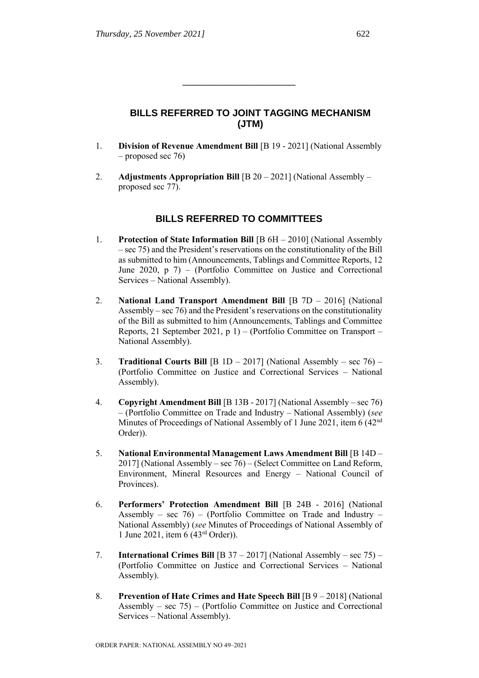# **BILLS REFERRED TO JOINT TAGGING MECHANISM (JTM)**

1. **Division of Revenue Amendment Bill** [B 19 - 2021] (National Assembly – proposed sec 76)

\_\_\_\_\_\_\_\_\_\_\_\_\_\_\_\_\_\_\_\_\_

2. **Adjustments Appropriation Bill** [B 20 – 2021] (National Assembly – proposed sec 77).

# **BILLS REFERRED TO COMMITTEES**

- 1. **Protection of State Information Bill** [B 6H 2010] (National Assembly – sec 75) and the President's reservations on the constitutionality of the Bill as submitted to him (Announcements, Tablings and Committee Reports, 12 June 2020, p 7) – (Portfolio Committee on Justice and Correctional Services – National Assembly).
- 2. **National Land Transport Amendment Bill** [B 7D 2016] (National Assembly – sec 76) and the President's reservations on the constitutionality of the Bill as submitted to him (Announcements, Tablings and Committee Reports, 21 September 2021, p 1) – (Portfolio Committee on Transport – National Assembly).
- 3. **Traditional Courts Bill** [B 1D 2017] (National Assembly sec 76) (Portfolio Committee on Justice and Correctional Services – National Assembly).
- 4. **Copyright Amendment Bill** [B 13B 2017] (National Assembly sec 76) – (Portfolio Committee on Trade and Industry – National Assembly) (*see*  Minutes of Proceedings of National Assembly of 1 June 2021, item 6 (42<sup>nd</sup>) Order)).
- 5. **National Environmental Management Laws Amendment Bill** [B 14D 2017] (National Assembly – sec 76) – (Select Committee on Land Reform, Environment, Mineral Resources and Energy – National Council of Provinces).
- 6. **Performers' Protection Amendment Bill** [B 24B 2016] (National Assembly – sec  $76$ ) – (Portfolio Committee on Trade and Industry – National Assembly) (*see* Minutes of Proceedings of National Assembly of 1 June 2021, item 6 (43rd Order)).
- 7. **International Crimes Bill** [B 37 2017] (National Assembly sec 75) (Portfolio Committee on Justice and Correctional Services – National Assembly).
- 8. **Prevention of Hate Crimes and Hate Speech Bill** [B 9 2018] (National Assembly – sec  $75$ ) – (Portfolio Committee on Justice and Correctional Services – National Assembly).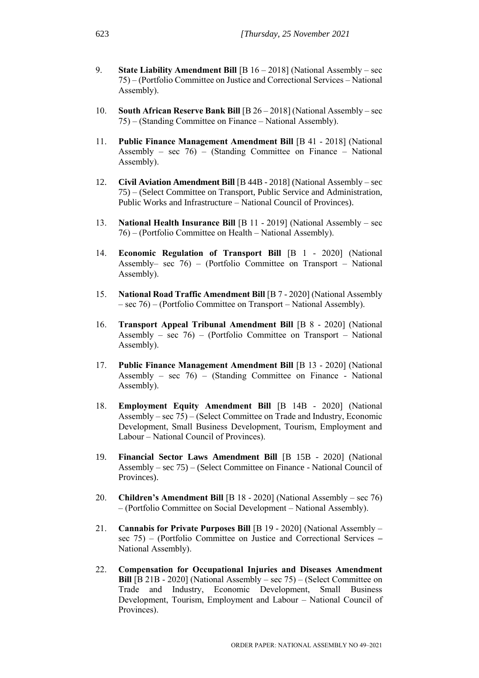- 9. **State Liability Amendment Bill** [B 16 2018] (National Assembly sec 75) – (Portfolio Committee on Justice and Correctional Services – National Assembly).
- 10. **South African Reserve Bank Bill** [B 26 2018] (National Assembly sec 75) – (Standing Committee on Finance – National Assembly).
- 11. **Public Finance Management Amendment Bill** [B 41 2018] (National Assembly – sec  $76$ ) – (Standing Committee on Finance – National Assembly).
- 12. **Civil Aviation Amendment Bill** [B 44B 2018] (National Assembly sec 75) – (Select Committee on Transport, Public Service and Administration, Public Works and Infrastructure – National Council of Provinces).
- 13. **National Health Insurance Bill** [B 11 2019] (National Assembly sec 76) – (Portfolio Committee on Health – National Assembly).
- 14. **Economic Regulation of Transport Bill** [B 1 2020] (National Assembly– sec 76) – (Portfolio Committee on Transport – National Assembly).
- 15. **National Road Traffic Amendment Bill** [B 7 2020] (National Assembly – sec 76) – (Portfolio Committee on Transport – National Assembly).
- 16. **Transport Appeal Tribunal Amendment Bill** [B 8 2020] (National Assembly – sec  $76$ ) – (Portfolio Committee on Transport – National Assembly).
- 17. **Public Finance Management Amendment Bill** [B 13 2020] (National Assembly – sec  $76$ ) – (Standing Committee on Finance - National Assembly).
- 18. **Employment Equity Amendment Bill** [B 14B 2020] (National Assembly – sec 75) – (Select Committee on Trade and Industry, Economic Development, Small Business Development, Tourism, Employment and Labour – National Council of Provinces).
- 19. **Financial Sector Laws Amendment Bill** [B 15B 2020] (National Assembly – sec 75) – (Select Committee on Finance - National Council of Provinces).
- 20. **Children's Amendment Bill** [B 18 2020] (National Assembly sec 76) – (Portfolio Committee on Social Development – National Assembly).
- 21. **Cannabis for Private Purposes Bill** [B 19 2020] (National Assembly sec 75) – (Portfolio Committee on Justice and Correctional Services **–** National Assembly).
- 22. **Compensation for Occupational Injuries and Diseases Amendment Bill** [B 21B - 2020] (National Assembly – sec 75) – (Select Committee on Trade and Industry, Economic Development, Small Business Development, Tourism, Employment and Labour – National Council of Provinces).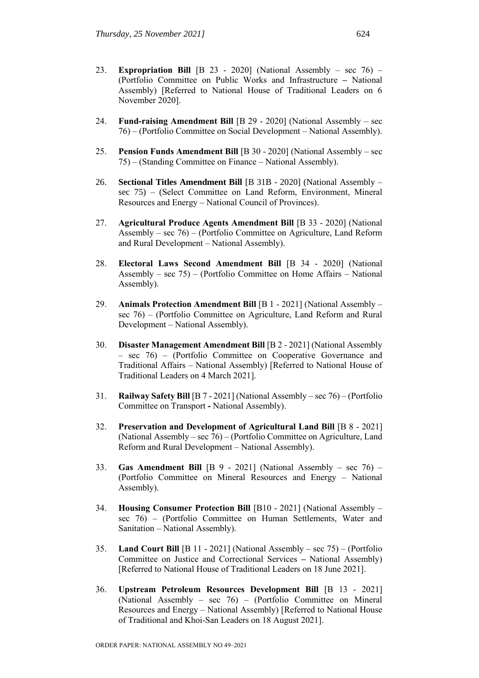- 23. **Expropriation Bill** [B 23 2020] (National Assembly sec 76) (Portfolio Committee on Public Works and Infrastructure **–** National Assembly) [Referred to National House of Traditional Leaders on 6 November 2020].
- 24. **Fund-raising Amendment Bill** [B 29 2020] (National Assembly sec 76) – (Portfolio Committee on Social Development – National Assembly).
- 25. **Pension Funds Amendment Bill** [B 30 2020] (National Assembly sec 75) – (Standing Committee on Finance – National Assembly).
- 26. **Sectional Titles Amendment Bill** [B 31B 2020] (National Assembly sec 75) – (Select Committee on Land Reform, Environment, Mineral Resources and Energy – National Council of Provinces).
- 27. **Agricultural Produce Agents Amendment Bill** [B 33 2020] (National Assembly – sec 76) – (Portfolio Committee on Agriculture, Land Reform and Rural Development – National Assembly).
- 28. **Electoral Laws Second Amendment Bill** [B 34 2020] (National Assembly – sec 75) – (Portfolio Committee on Home Affairs – National Assembly).
- 29. **Animals Protection Amendment Bill** [B 1 2021] (National Assembly sec 76) – (Portfolio Committee on Agriculture, Land Reform and Rural Development – National Assembly).
- 30. **Disaster Management Amendment Bill** [B 2 2021] (National Assembly – sec 76) – (Portfolio Committee on Cooperative Governance and Traditional Affairs – National Assembly) [Referred to National House of Traditional Leaders on 4 March 2021].
- 31. **Railway Safety Bill** [B 7 2021] (National Assembly sec 76) (Portfolio Committee on Transport **-** National Assembly).
- 32. **Preservation and Development of Agricultural Land Bill** [B 8 2021] (National Assembly – sec 76) – (Portfolio Committee on Agriculture, Land Reform and Rural Development – National Assembly).
- 33. **Gas Amendment Bill** [B 9 2021] (National Assembly sec 76) (Portfolio Committee on Mineral Resources and Energy – National Assembly).
- 34. **Housing Consumer Protection Bill** [B10 2021] (National Assembly sec 76) – (Portfolio Committee on Human Settlements, Water and Sanitation – National Assembly).
- 35. **Land Court Bill** [B 11 2021] (National Assembly sec 75) (Portfolio Committee on Justice and Correctional Services **–** National Assembly) [Referred to National House of Traditional Leaders on 18 June 2021].
- 36. **Upstream Petroleum Resources Development Bill** [B 13 2021] (National Assembly – sec 76) – (Portfolio Committee on Mineral Resources and Energy – National Assembly) [Referred to National House of Traditional and Khoi-San Leaders on 18 August 2021].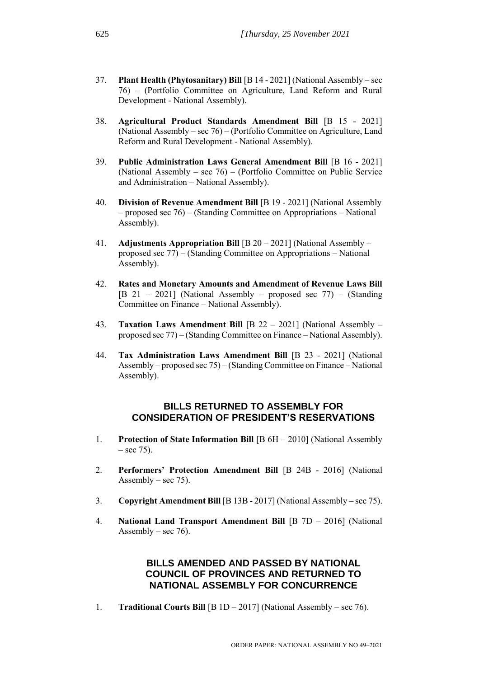- 37. **Plant Health (Phytosanitary) Bill** [B 14 2021] (National Assembly sec 76) – (Portfolio Committee on Agriculture, Land Reform and Rural Development - National Assembly).
- 38. **Agricultural Product Standards Amendment Bill** [B 15 2021] (National Assembly – sec 76) – (Portfolio Committee on Agriculture, Land Reform and Rural Development - National Assembly).
- 39. **Public Administration Laws General Amendment Bill** [B 16 2021] (National Assembly – sec 76) – (Portfolio Committee on Public Service and Administration – National Assembly).
- 40. **Division of Revenue Amendment Bill** [B 19 2021] (National Assembly – proposed sec 76) – (Standing Committee on Appropriations – National Assembly).
- 41. **Adjustments Appropriation Bill** [B 20 2021] (National Assembly proposed sec 77) – (Standing Committee on Appropriations – National Assembly).
- 42. **Rates and Monetary Amounts and Amendment of Revenue Laws Bill**  [B 21 – 2021] (National Assembly – proposed sec 77) – (Standing Committee on Finance – National Assembly).
- 43. **Taxation Laws Amendment Bill** [B 22 2021] (National Assembly proposed sec 77) – (Standing Committee on Finance – National Assembly).
- 44. **Tax Administration Laws Amendment Bill** [B 23 2021] (National Assembly – proposed sec 75) – (Standing Committee on Finance – National Assembly).

#### **BILLS RETURNED TO ASSEMBLY FOR CONSIDERATION OF PRESIDENT'S RESERVATIONS**

- 1. **Protection of State Information Bill** [B 6H 2010] (National Assembly  $-$  sec 75).
- 2. **Performers' Protection Amendment Bill** [B 24B 2016] (National Assembly – sec  $75$ ).
- 3. **Copyright Amendment Bill** [B 13B 2017] (National Assembly sec 75).
- 4. **National Land Transport Amendment Bill** [B 7D 2016] (National Assembly – sec 76).

## **BILLS AMENDED AND PASSED BY NATIONAL COUNCIL OF PROVINCES AND RETURNED TO NATIONAL ASSEMBLY FOR CONCURRENCE**

1. **Traditional Courts Bill** [B 1D – 2017] (National Assembly – sec 76).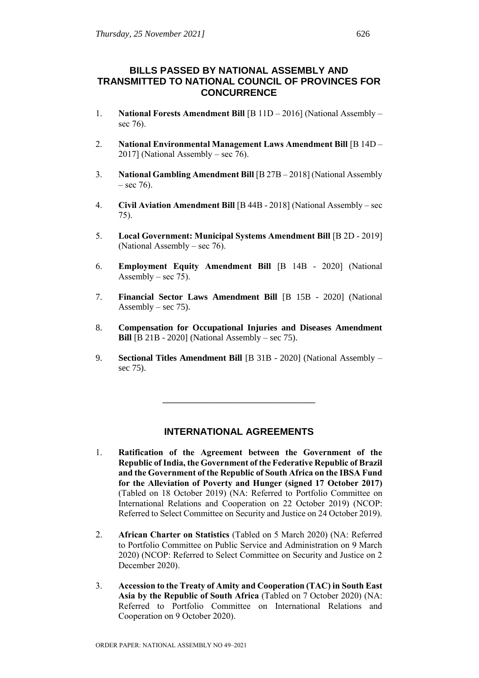# **BILLS PASSED BY NATIONAL ASSEMBLY AND TRANSMITTED TO NATIONAL COUNCIL OF PROVINCES FOR CONCURRENCE**

- 1. **National Forests Amendment Bill** [B 11D 2016] (National Assembly sec 76).
- 2. **National Environmental Management Laws Amendment Bill** [B 14D 2017] (National Assembly – sec 76).
- 3. **National Gambling Amendment Bill** [B 27B 2018] (National Assembly  $-$  sec 76).
- 4. **Civil Aviation Amendment Bill** [B 44B 2018] (National Assembly sec 75).
- 5. **Local Government: Municipal Systems Amendment Bill** [B 2D 2019] (National Assembly – sec 76).
- 6. **Employment Equity Amendment Bill** [B 14B 2020] (National Assembly – sec  $75$ ).
- 7. **Financial Sector Laws Amendment Bill** [B 15B 2020] (National Assembly – sec  $75$ ).
- 8. **Compensation for Occupational Injuries and Diseases Amendment Bill** [B 21B - 2020] (National Assembly – sec 75).
- 9. **Sectional Titles Amendment Bill** [B 31B 2020] (National Assembly sec 75).

\_\_\_\_\_\_\_\_\_\_\_\_\_\_\_\_\_\_\_\_\_\_\_\_\_\_\_\_\_\_\_

## **INTERNATIONAL AGREEMENTS**

- 1. **Ratification of the Agreement between the Government of the Republic of India, the Government of the Federative Republic of Brazil and the Government of the Republic of South Africa on the IBSA Fund for the Alleviation of Poverty and Hunger (signed 17 October 2017)** (Tabled on 18 October 2019) (NA: Referred to Portfolio Committee on International Relations and Cooperation on 22 October 2019) (NCOP: Referred to Select Committee on Security and Justice on 24 October 2019).
- 2. **African Charter on Statistics** (Tabled on 5 March 2020) (NA: Referred to Portfolio Committee on Public Service and Administration on 9 March 2020) (NCOP: Referred to Select Committee on Security and Justice on 2 December 2020).
- 3. **Accession to the Treaty of Amity and Cooperation (TAC) in South East Asia by the Republic of South Africa** (Tabled on 7 October 2020) (NA: Referred to Portfolio Committee on International Relations and Cooperation on 9 October 2020).